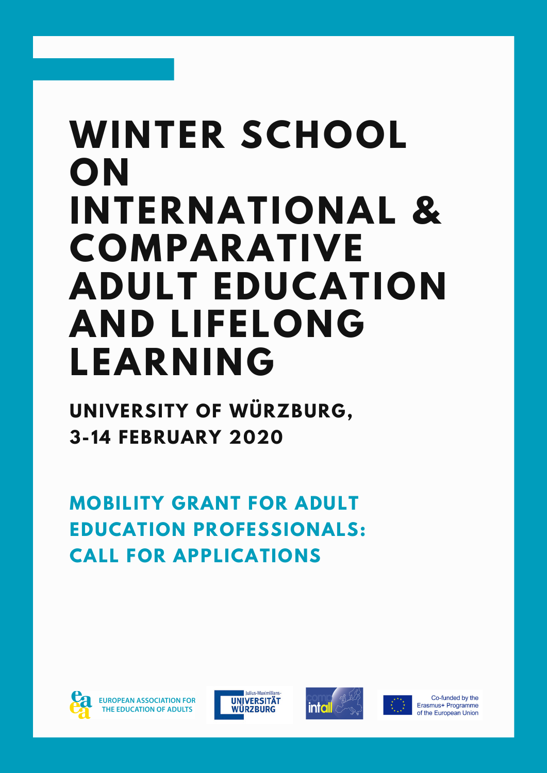# **WINTER SCHOOL ON INTERNATIONAL & COMPARATIVE ADULT EDUCATION AND LIFELONG LEARNING**

**UNIVERSITY OF WÜRZBURG, 3-14 FEBRUARY 2020**

**MOBILITY GRANT FOR ADULT EDUCATION PROFESSIONALS: CALL FOR APPLICATIONS**



**FUROPEAN ASSOCIATION FOR** THE EDUCATION OF ADULTS







Co-funded by the Erasmus+ Programme of the European Union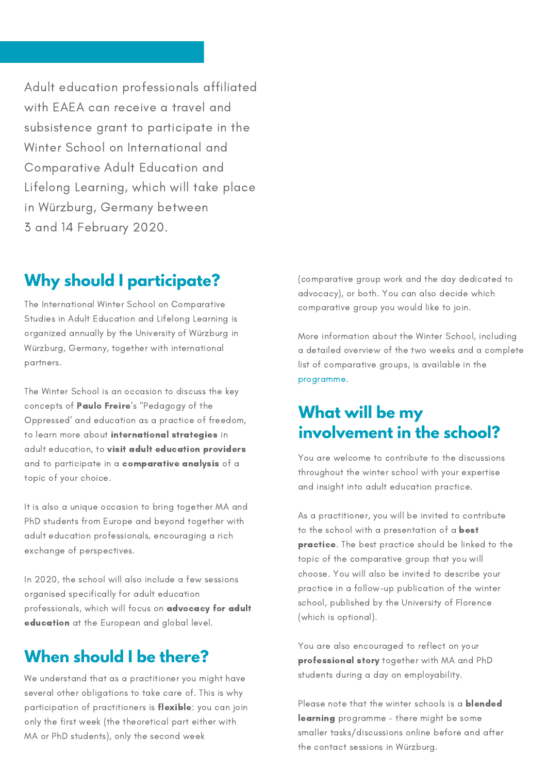Adult education professionals affiliated with EAEA can receive a travel and subsistence grant to participate in the Winter School on International and Comparative Adult Education and Lifelong Learning, which will take place in Würzburg, Germany between 3 and 14 February 2020.

#### **Why should I participate?**

The International Winter School on Comparative Studies in Adult Education and Lifelong Learning is organized annually by the University of Würzburg in Würzburg, Germany, together with international partners.

The Winter School is an occasion to discuss the key concepts of Paulo Freire's "Pedagogy of the Oppressed' and education as a practice of freedom, to learn more about international strategies in adult education, to visit adult education providers and to participate in a comparative analysis of a topic of your choice.

It is also a unique occasion to bring together MA and PhD students from Europe and beyond together with adult education professionals, encouraging a rich exchange of perspectives.

In 2020, the school will also include a few sessions organised specifically for adult education professionals, which will focus on advocacy for adult education at the European and global level.

## **When should I be there?**

We understand that as a practitioner you might have several other obligations to take care of. This is why participation of practitioners is flexible: you can join only the first week (the theoretical part either with MA or PhD students), only the second week

[\(comparative](https://www.paedagogik.uni-wuerzburg.de/fileadmin/06030230/Winter_School/Booklets_WS/Winter_School_2020__Version_August_.pdf) group work and the day dedicated to advocacy), or both. You can also decide which comparative group you would like to join.

More information about the Winter School, including a detailed overview of the two weeks and a complete list of comparative groups, is available in the programme.

#### **What will be my involvement in the school?**

You are welcome to contribute to the discussions throughout the winter school with your expertise and insight into adult education practice.

As a practitioner, you will be invited to contribute to the school with a presentation of a **best** practice. The best practice should be linked to the topic of the comparative group that you will choose. You will also be invited to describe your practice in a follow-up publication of the winter school, published by the University of Florence (which is optional).

You are also encouraged to reflect on your professional story together with MA and PhD students during a day on employability.

Please note that the winter schools is a blended learning programme - there might be some smaller tasks/discussions online before and after the contact sessions in Würzburg.